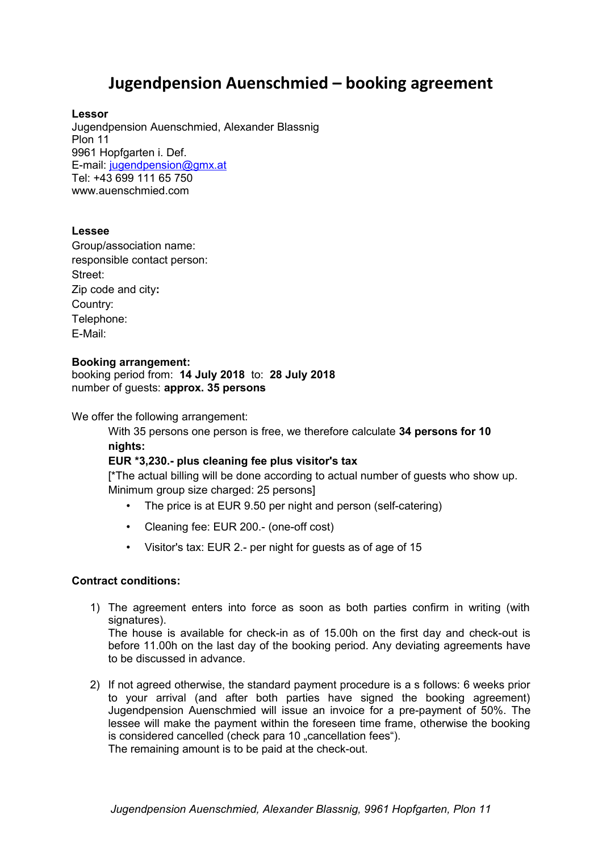# **Jugendpension Auenschmied – booking agreement**

### **Lessor**

Jugendpension Auenschmied, Alexander Blassnig Plon 11 9961 Hopfgarten i. Def. E-mail: [jugendpension@gmx.at](mailto:jugendpension@gmx.at) Tel: +43 699 111 65 750 www.auenschmied.com

## **Lessee**

Group/association name: responsible contact person: Street: Zip code and city**:**  Country: Telephone: E-Mail:

#### **Booking arrangement:**

booking period from: **14 July 2018** to: **28 July 2018** number of guests: **approx. 35 persons**

We offer the following arrangement:

With 35 persons one person is free, we therefore calculate **34 persons for 10 nights:**

## **EUR \*3,230.- plus cleaning fee plus visitor's tax**

[\*The actual billing will be done according to actual number of guests who show up. Minimum group size charged: 25 persons]

- The price is at EUR 9.50 per night and person (self-catering)
- Cleaning fee: EUR 200.- (one-off cost)
- Visitor's tax: EUR 2.- per night for guests as of age of 15

#### **Contract conditions:**

1) The agreement enters into force as soon as both parties confirm in writing (with signatures).

The house is available for check-in as of 15.00h on the first day and check-out is before 11.00h on the last day of the booking period. Any deviating agreements have to be discussed in advance.

2) If not agreed otherwise, the standard payment procedure is a s follows: 6 weeks prior to your arrival (and after both parties have signed the booking agreement) Jugendpension Auenschmied will issue an invoice for a pre-payment of 50%. The lessee will make the payment within the foreseen time frame, otherwise the booking is considered cancelled (check para 10 "cancellation fees"). The remaining amount is to be paid at the check-out.